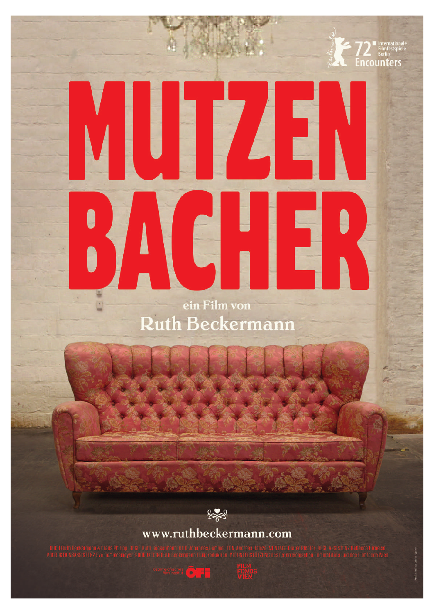# <u>.</u><br>Encounters

# ein Film von Ruth Beckermann



# www.ruthbeckermann.com

**Out**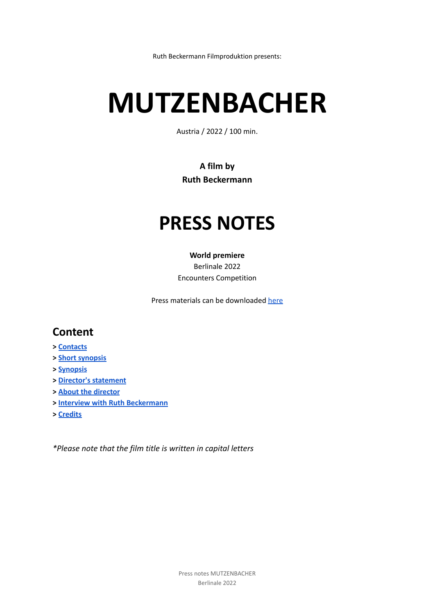Ruth Beckermann Filmproduktion presents:

# **MUTZENBACHER**

Austria / 2022 / 100 min.

**A film by Ruth Beckermann**

# **PRESS NOTES**

#### **World premiere**

Berlinale 2022 Encounters Competition

Press materials can be downloaded [here](https://noisefilmpr.com/projects/mutzenbacher)

# **Content**

- **> [Contacts](#page-2-0)**
- **> Short [synopsis](#page-3-0)**
- **> [Synopsis](#page-3-1)**
- **> Director's [statement](#page-4-0)**
- **> About the [director](#page-6-0)**
- **> Interview with Ruth [Beckermann](#page-7-0)**
- **> [Credits](#page-10-0)**

*\*Please note that the film title is written in capital letters*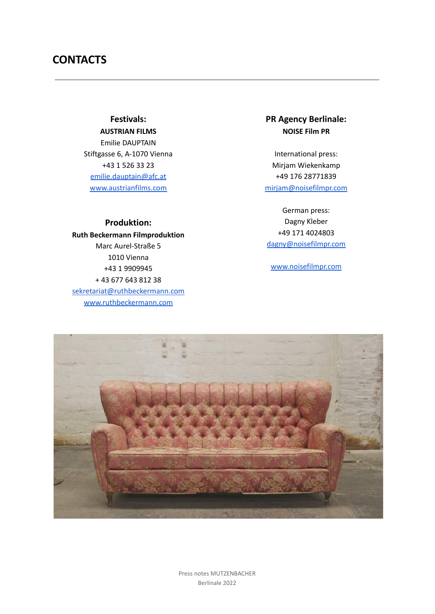# <span id="page-2-0"></span>**CONTACTS**

**Festivals: AUSTRIAN FILMS**

Emilie DAUPTAIN Stiftgasse 6, A-1070 Vienna +43 1 526 33 23 [emilie.dauptain@afc.at](mailto:emilie.dauptain@afc.at) [www.austrianfilms.com](http://www.austrianfilms.com)

#### **Produktion:**

**Ruth Beckermann Filmproduktion** Marc Aurel-Straße 5 1010 Vienna +43 1 9909945 + 43 677 643 812 38 [sekretariat@ruthbeckermann.com](mailto:sekretariat@ruthbeckermann.com) [www.ruthbeckermann.com](http://www.ruthbeckermann.com)

## **PR Agency Berlinale: NOISE Film PR**

International press: Mirjam Wiekenkamp +49 176 28771839 [mirjam@noisefilmpr.com](mailto:mirjam@noisefilmpr.com)

German press: Dagny Kleber +49 171 4024803 [dagny@noisefilmpr.com](mailto:dagny@noisefilmpr.com)

[www.noisefilmpr.com](http://www.noisefilmpr.com)



Press notes MUTZENBACHER Berlinale 2022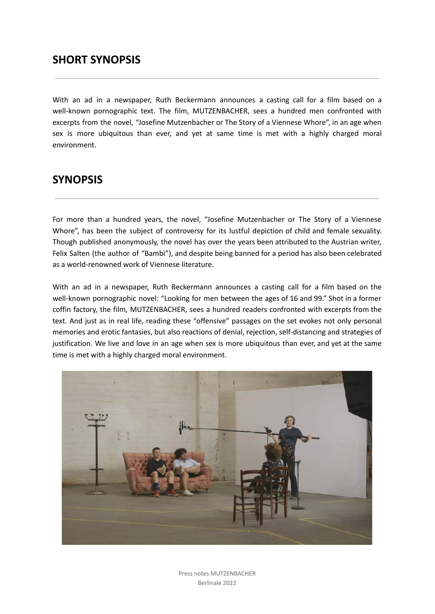# <span id="page-3-0"></span>**SHORT SYNOPSIS**

With an ad in a newspaper, Ruth Beckermann announces a casting call for a film based on a well-known pornographic text. The film, MUTZENBACHER, sees a hundred men confronted with excerpts from the novel, "Josefine Mutzenbacher or The Story of a Viennese Whore", in an age when sex is more ubiquitous than ever, and yet at same time is met with a highly charged moral environment.

# <span id="page-3-1"></span>**SYNOPSIS**

For more than a hundred years, the novel, "Josefine Mutzenbacher or The Story of a Viennese Whore", has been the subject of controversy for its lustful depiction of child and female sexuality. Though published anonymously, the novel has over the years been attributed to the Austrian writer, Felix Salten (the author of "Bambi"), and despite being banned for a period has also been celebrated as a world-renowned work of Viennese literature.

With an ad in a newspaper, Ruth Beckermann announces a casting call for a film based on the well-known pornographic novel: "Looking for men between the ages of 16 and 99." Shot in a former coffin factory, the film, MUTZENBACHER, sees a hundred readers confronted with excerpts from the text. And just as in real life, reading these "offensive" passages on the set evokes not only personal memories and erotic fantasies, but also reactions of denial, rejection, self-distancing and strategies of justification. We live and love in an age when sex is more ubiquitous than ever, and yet at the same time is met with a highly charged moral environment.

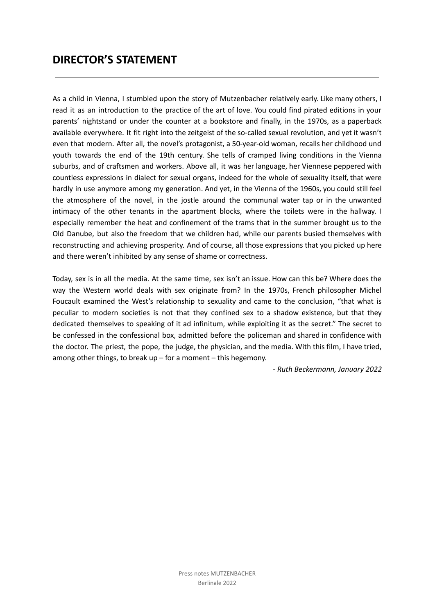# <span id="page-4-0"></span>**DIRECTOR'S STATEMENT**

As a child in Vienna, I stumbled upon the story of Mutzenbacher relatively early. Like many others, I read it as an introduction to the practice of the art of love. You could find pirated editions in your parents' nightstand or under the counter at a bookstore and finally, in the 1970s, as a paperback available everywhere. It fit right into the zeitgeist of the so-called sexual revolution, and yet it wasn't even that modern. After all, the novel's protagonist, a 50-year-old woman, recalls her childhood und youth towards the end of the 19th century. She tells of cramped living conditions in the Vienna suburbs, and of craftsmen and workers. Above all, it was her language, her Viennese peppered with countless expressions in dialect for sexual organs, indeed for the whole of sexuality itself, that were hardly in use anymore among my generation. And yet, in the Vienna of the 1960s, you could still feel the atmosphere of the novel, in the jostle around the communal water tap or in the unwanted intimacy of the other tenants in the apartment blocks, where the toilets were in the hallway. I especially remember the heat and confinement of the trams that in the summer brought us to the Old Danube, but also the freedom that we children had, while our parents busied themselves with reconstructing and achieving prosperity. And of course, all those expressions that you picked up here and there weren't inhibited by any sense of shame or correctness.

Today, sex is in all the media. At the same time, sex isn't an issue. How can this be? Where does the way the Western world deals with sex originate from? In the 1970s, French philosopher Michel Foucault examined the West's relationship to sexuality and came to the conclusion, "that what is peculiar to modern societies is not that they confined sex to a shadow existence, but that they dedicated themselves to speaking of it ad infinitum, while exploiting it as the secret." The secret to be confessed in the confessional box, admitted before the policeman and shared in confidence with the doctor. The priest, the pope, the judge, the physician, and the media. With this film, I have tried, among other things, to break up  $-$  for a moment  $-$  this hegemony.

- *Ruth Beckermann, January 2022*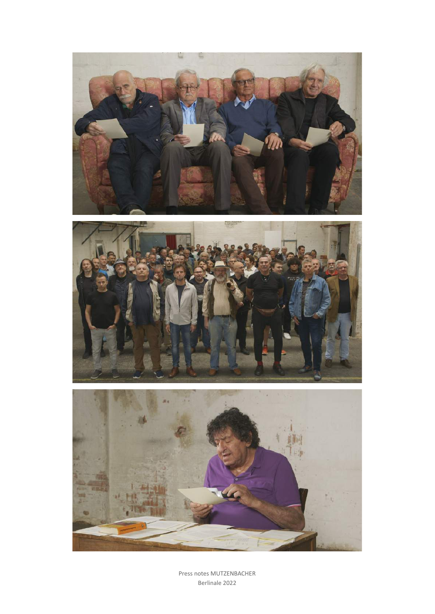





Press notes MUTZENBACHER Berlinale 2022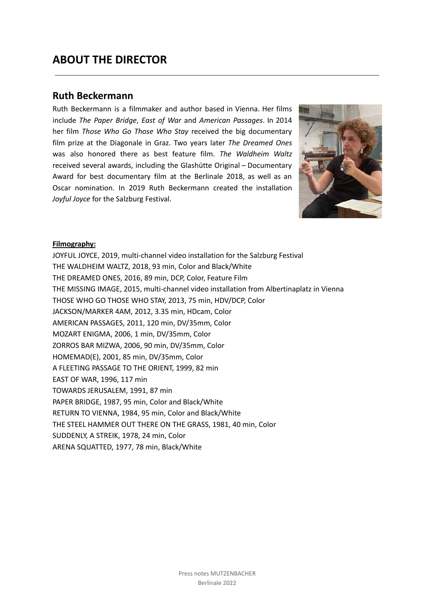# <span id="page-6-0"></span>**ABOUT THE DIRECTOR**

### **Ruth Beckermann**

Ruth Beckermann is a filmmaker and author based in Vienna. Her films include *The Paper Bridge*, *East of War* and *American Passages*. In 2014 her film *Those Who Go Those Who Stay* received the big documentary film prize at the Diagonale in Graz. Two years later *The Dreamed Ones* was also honored there as best feature film. *The Waldheim Waltz* received several awards, including the Glashütte Original – Documentary Award for best documentary film at the Berlinale 2018, as well as an Oscar nomination. In 2019 Ruth Beckermann created the installation *Joyful Joyce* for the Salzburg Festival.



#### **Filmography:**

JOYFUL JOYCE, 2019, multi-channel video installation for the Salzburg Festival THE WALDHEIM WALTZ, 2018, 93 min, Color and Black/White THE DREAMED ONES, 2016, 89 min, DCP, Color, Feature Film THE MISSING IMAGE, 2015, multi-channel video installation from Albertinaplatz in Vienna THOSE WHO GO THOSE WHO STAY, 2013, 75 min, HDV/DCP, Color JACKSON/MARKER 4AM, 2012, 3.35 min, HDcam, Color AMERICAN PASSAGES, 2011, 120 min, DV/35mm, Color MOZART ENIGMA, 2006, 1 min, DV/35mm, Color ZORROS BAR MIZWA, 2006, 90 min, DV/35mm, Color HOMEMAD(E), 2001, 85 min, DV/35mm, Color A FLEETING PASSAGE TO THE ORIENT, 1999, 82 min EAST OF WAR, 1996, 117 min TOWARDS JERUSALEM, 1991, 87 min PAPER BRIDGE, 1987, 95 min, Color and Black/White RETURN TO VIENNA, 1984, 95 min, Color and Black/White THE STEEL HAMMER OUT THERE ON THE GRASS, 1981, 40 min, Color SUDDENLY, A STREIK, 1978, 24 min, Color ARENA SQUATTED, 1977, 78 min, Black/White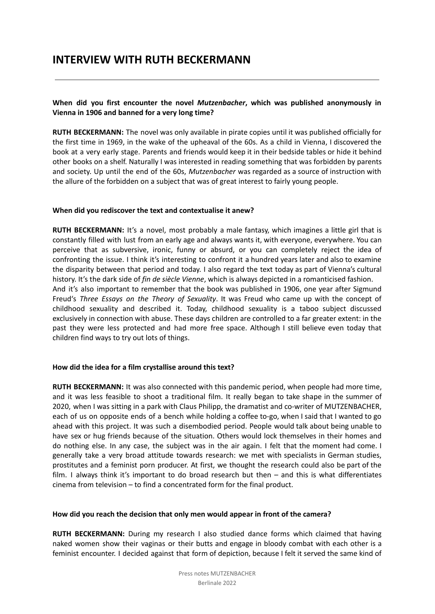# <span id="page-7-0"></span>**INTERVIEW WITH RUTH BECKERMANN**

#### **When did you first encounter the novel** *Mutzenbacher***, which was published anonymously in Vienna in 1906 and banned for a very long time?**

**RUTH BECKERMANN:** The novel was only available in pirate copies until it was published officially for the first time in 1969, in the wake of the upheaval of the 60s. As a child in Vienna, I discovered the book at a very early stage. Parents and friends would keep it in their bedside tables or hide it behind other books on a shelf. Naturally I was interested in reading something that was forbidden by parents and society. Up until the end of the 60s, *Mutzenbacher* was regarded as a source of instruction with the allure of the forbidden on a subject that was of great interest to fairly young people.

#### **When did you rediscover the text and contextualise it anew?**

**RUTH BECKERMANN:** It's a novel, most probably a male fantasy, which imagines a little girl that is constantly filled with lust from an early age and always wants it, with everyone, everywhere. You can perceive that as subversive, ironic, funny or absurd, or you can completely reject the idea of confronting the issue. I think it's interesting to confront it a hundred years later and also to examine the disparity between that period and today. I also regard the text today as part of Vienna's cultural history. It's the dark side of *fin de siècle Vienne*, which is always depicted in a romanticised fashion. And it's also important to remember that the book was published in 1906, one year after Sigmund Freud's *Three Essays on the Theory of Sexuality*. It was Freud who came up with the concept of childhood sexuality and described it. Today, childhood sexuality is a taboo subject discussed exclusively in connection with abuse. These days children are controlled to a far greater extent: in the past they were less protected and had more free space. Although I still believe even today that children find ways to try out lots of things.

#### **How did the idea for a film crystallise around this text?**

**RUTH BECKERMANN:** It was also connected with this pandemic period, when people had more time, and it was less feasible to shoot a traditional film. It really began to take shape in the summer of 2020, when I was sitting in a park with Claus Philipp, the dramatist and co-writer of MUTZENBACHER, each of us on opposite ends of a bench while holding a coffee to-go, when I said that I wanted to go ahead with this project. It was such a disembodied period. People would talk about being unable to have sex or hug friends because of the situation. Others would lock themselves in their homes and do nothing else. In any case, the subject was in the air again. I felt that the moment had come. I generally take a very broad attitude towards research: we met with specialists in German studies, prostitutes and a feminist porn producer. At first, we thought the research could also be part of the film. I always think it's important to do broad research but then – and this is what differentiates cinema from television – to find a concentrated form for the final product.

#### **How did you reach the decision that only men would appear in front of the camera?**

**RUTH BECKERMANN:** During my research I also studied dance forms which claimed that having naked women show their vaginas or their butts and engage in bloody combat with each other is a feminist encounter. I decided against that form of depiction, because I felt it served the same kind of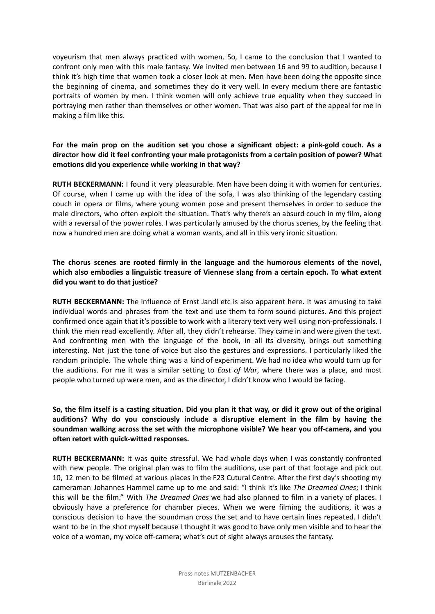voyeurism that men always practiced with women. So, I came to the conclusion that I wanted to confront only men with this male fantasy. We invited men between 16 and 99 to audition, because I think it's high time that women took a closer look at men. Men have been doing the opposite since the beginning of cinema, and sometimes they do it very well. In every medium there are fantastic portraits of women by men. I think women will only achieve true equality when they succeed in portraying men rather than themselves or other women. That was also part of the appeal for me in making a film like this.

#### **For the main prop on the audition set you chose a significant object: a pink-gold couch. As a director how did it feel confronting your male protagonists from a certain position of power? What emotions did you experience while working in that way?**

**RUTH BECKERMANN:** I found it very pleasurable. Men have been doing it with women for centuries. Of course, when I came up with the idea of the sofa, I was also thinking of the legendary casting couch in opera or films, where young women pose and present themselves in order to seduce the male directors, who often exploit the situation. That's why there's an absurd couch in my film, along with a reversal of the power roles. I was particularly amused by the chorus scenes, by the feeling that now a hundred men are doing what a woman wants, and all in this very ironic situation.

#### **The chorus scenes are rooted firmly in the language and the humorous elements of the novel, which also embodies a linguistic treasure of Viennese slang from a certain epoch. To what extent did you want to do that justice?**

**RUTH BECKERMANN:** The influence of Ernst Jandl etc is also apparent here. It was amusing to take individual words and phrases from the text and use them to form sound pictures. And this project confirmed once again that it's possible to work with a literary text very well using non-professionals. I think the men read excellently. After all, they didn't rehearse. They came in and were given the text. And confronting men with the language of the book, in all its diversity, brings out something interesting. Not just the tone of voice but also the gestures and expressions. I particularly liked the random principle. The whole thing was a kind of experiment. We had no idea who would turn up for the auditions. For me it was a similar setting to *East of War*, where there was a place, and most people who turned up were men, and as the director, I didn't know who I would be facing.

#### So, the film itself is a casting situation. Did you plan it that way, or did it grow out of the original **auditions? Why do you consciously include a disruptive element in the film by having the soundman walking across the set with the microphone visible? We hear you off-camera, and you often retort with quick-witted responses.**

**RUTH BECKERMANN:** It was quite stressful. We had whole days when I was constantly confronted with new people. The original plan was to film the auditions, use part of that footage and pick out 10, 12 men to be filmed at various places in the F23 Cutural Centre. After the first day's shooting my cameraman Johannes Hammel came up to me and said: "I think it's like *The Dreamed Ones*; I think this will be the film." With *The Dreamed Ones* we had also planned to film in a variety of places. I obviously have a preference for chamber pieces. When we were filming the auditions, it was a conscious decision to have the soundman cross the set and to have certain lines repeated. I didn't want to be in the shot myself because I thought it was good to have only men visible and to hear the voice of a woman, my voice off-camera; what's out of sight always arouses the fantasy.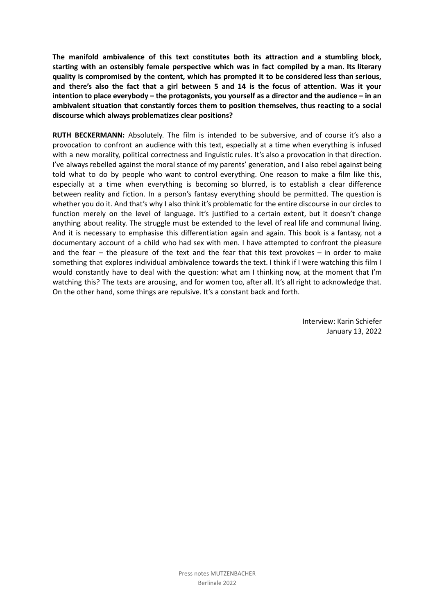**The manifold ambivalence of this text constitutes both its attraction and a stumbling block, starting with an ostensibly female perspective which was in fact compiled by a man. Its literary quality is compromised by the content, which has prompted it to be considered less than serious,** and there's also the fact that a girl between 5 and 14 is the focus of attention. Was it your intention to place everybody – the protagonists, you yourself as a director and the audience – in an **ambivalent situation that constantly forces them to position themselves, thus reacting to a social discourse which always problematizes clear positions?**

**RUTH BECKERMANN:** Absolutely. The film is intended to be subversive, and of course it's also a provocation to confront an audience with this text, especially at a time when everything is infused with a new morality, political correctness and linguistic rules. It's also a provocation in that direction. I've always rebelled against the moral stance of my parents' generation, and I also rebel against being told what to do by people who want to control everything. One reason to make a film like this, especially at a time when everything is becoming so blurred, is to establish a clear difference between reality and fiction. In a person's fantasy everything should be permitted. The question is whether you do it. And that's why I also think it's problematic for the entire discourse in our circles to function merely on the level of language. It's justified to a certain extent, but it doesn't change anything about reality. The struggle must be extended to the level of real life and communal living. And it is necessary to emphasise this differentiation again and again. This book is a fantasy, not a documentary account of a child who had sex with men. I have attempted to confront the pleasure and the fear  $-$  the pleasure of the text and the fear that this text provokes  $-$  in order to make something that explores individual ambivalence towards the text. I think if I were watching this film I would constantly have to deal with the question: what am I thinking now, at the moment that I'm watching this? The texts are arousing, and for women too, after all. It's all right to acknowledge that. On the other hand, some things are repulsive. It's a constant back and forth.

> Interview: Karin Schiefer January 13, 2022